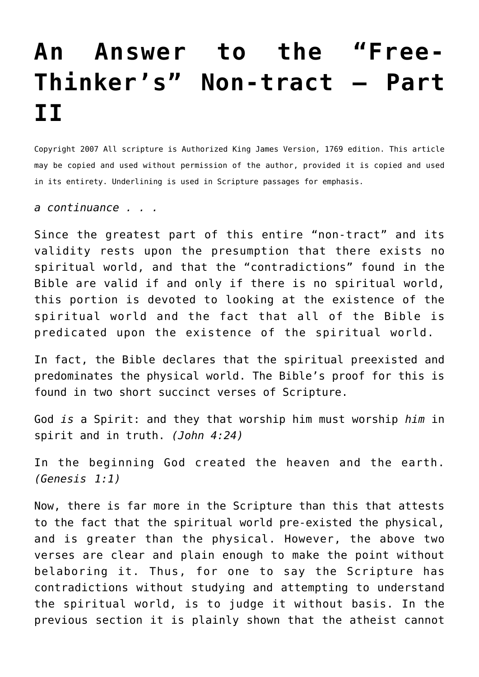## **[An Answer to the "Free-](http://reproachofmen.org/apologetics/an-answer-to-the-free-thinkers-non-tract-part-ii/)[Thinker's" Non-tract – Part](http://reproachofmen.org/apologetics/an-answer-to-the-free-thinkers-non-tract-part-ii/) [II](http://reproachofmen.org/apologetics/an-answer-to-the-free-thinkers-non-tract-part-ii/)**

Copyright 2007 All scripture is Authorized King James Version, 1769 edition. This article may be copied and used without permission of the author, provided it is copied and used in its entirety. Underlining is used in Scripture passages for emphasis.

*a continuance . . .*

Since the greatest part of this entire "non-tract" and its validity rests upon the presumption that there exists no spiritual world, and that the "contradictions" found in the Bible are valid if and only if there is no spiritual world, this portion is devoted to looking at the existence of the spiritual world and the fact that all of the Bible is predicated upon the existence of the spiritual world.

In fact, the Bible declares that the spiritual preexisted and predominates the physical world. The Bible's proof for this is found in two short succinct verses of Scripture.

God *is* a Spirit: and they that worship him must worship *him* in spirit and in truth. *(John 4:24)*

In the beginning God created the heaven and the earth. *(Genesis 1:1)*

Now, there is far more in the Scripture than this that attests to the fact that the spiritual world pre-existed the physical, and is greater than the physical. However, the above two verses are clear and plain enough to make the point without belaboring it. Thus, for one to say the Scripture has contradictions without studying and attempting to understand the spiritual world, is to judge it without basis. In the previous section it is plainly shown that the atheist cannot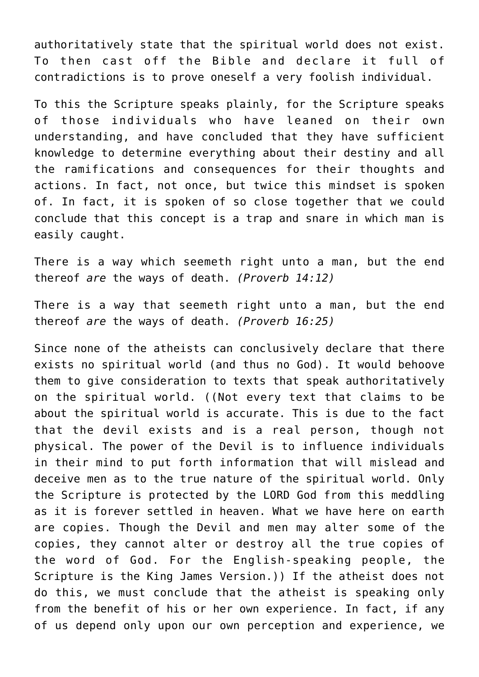authoritatively state that the spiritual world does not exist. To then cast off the Bible and declare it full of contradictions is to prove oneself a very foolish individual.

To this the Scripture speaks plainly, for the Scripture speaks of those individuals who have leaned on their own understanding, and have concluded that they have sufficient knowledge to determine everything about their destiny and all the ramifications and consequences for their thoughts and actions. In fact, not once, but twice this mindset is spoken of. In fact, it is spoken of so close together that we could conclude that this concept is a trap and snare in which man is easily caught.

There is a way which seemeth right unto a man, but the end thereof *are* the ways of death. *(Proverb 14:12)*

There is a way that seemeth right unto a man, but the end thereof *are* the ways of death. *(Proverb 16:25)*

Since none of the atheists can conclusively declare that there exists no spiritual world (and thus no God). It would behoove them to give consideration to texts that speak authoritatively on the spiritual world. ((Not every text that claims to be about the spiritual world is accurate. This is due to the fact that the devil exists and is a real person, though not physical. The power of the Devil is to influence individuals in their mind to put forth information that will mislead and deceive men as to the true nature of the spiritual world. Only the Scripture is protected by the LORD God from this meddling as it is forever settled in heaven. What we have here on earth are copies. Though the Devil and men may alter some of the copies, they cannot alter or destroy all the true copies of the word of God. For the English-speaking people, the Scripture is the King James Version.)) If the atheist does not do this, we must conclude that the atheist is speaking only from the benefit of his or her own experience. In fact, if any of us depend only upon our own perception and experience, we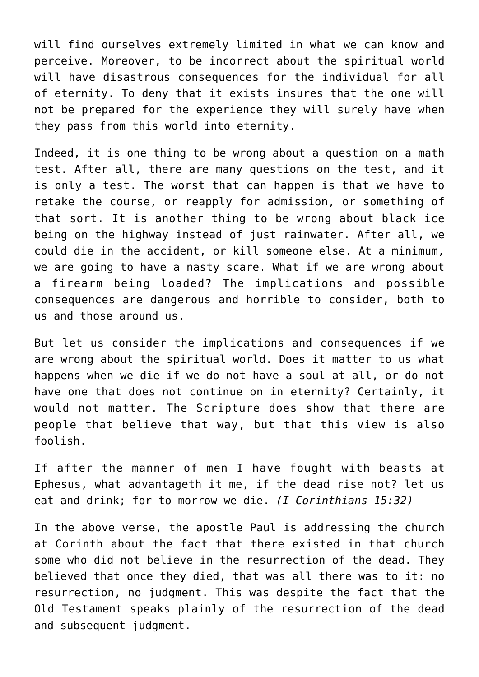will find ourselves extremely limited in what we can know and perceive. Moreover, to be incorrect about the spiritual world will have disastrous consequences for the individual for all of eternity. To deny that it exists insures that the one will not be prepared for the experience they will surely have when they pass from this world into eternity.

Indeed, it is one thing to be wrong about a question on a math test. After all, there are many questions on the test, and it is only a test. The worst that can happen is that we have to retake the course, or reapply for admission, or something of that sort. It is another thing to be wrong about black ice being on the highway instead of just rainwater. After all, we could die in the accident, or kill someone else. At a minimum, we are going to have a nasty scare. What if we are wrong about a firearm being loaded? The implications and possible consequences are dangerous and horrible to consider, both to us and those around us.

But let us consider the implications and consequences if we are wrong about the spiritual world. Does it matter to us what happens when we die if we do not have a soul at all, or do not have one that does not continue on in eternity? Certainly, it would not matter. The Scripture does show that there are people that believe that way, but that this view is also foolish.

If after the manner of men I have fought with beasts at Ephesus, what advantageth it me, if the dead rise not? let us eat and drink; for to morrow we die. *(I Corinthians 15:32)*

In the above verse, the apostle Paul is addressing the church at Corinth about the fact that there existed in that church some who did not believe in the resurrection of the dead. They believed that once they died, that was all there was to it: no resurrection, no judgment. This was despite the fact that the Old Testament speaks plainly of the resurrection of the dead and subsequent judgment.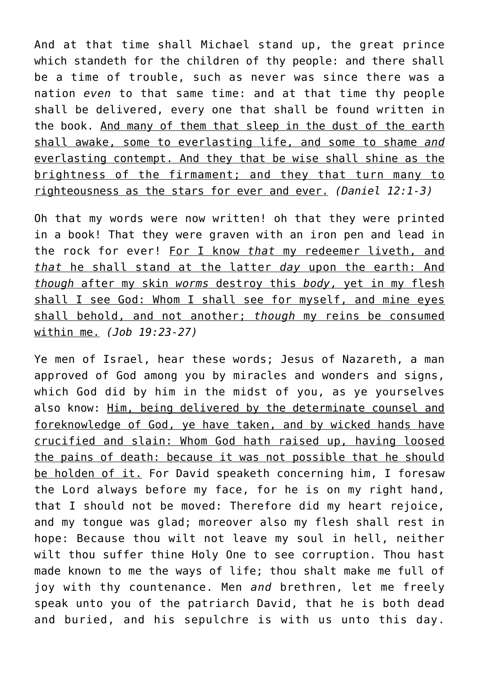And at that time shall Michael stand up, the great prince which standeth for the children of thy people: and there shall be a time of trouble, such as never was since there was a nation *even* to that same time: and at that time thy people shall be delivered, every one that shall be found written in the book. And many of them that sleep in the dust of the earth shall awake, some to everlasting life, and some to shame *and* everlasting contempt. And they that be wise shall shine as the brightness of the firmament; and they that turn many to righteousness as the stars for ever and ever. *(Daniel 12:1-3)*

Oh that my words were now written! oh that they were printed in a book! That they were graven with an iron pen and lead in the rock for ever! For I know *that* my redeemer liveth, and *that* he shall stand at the latter *day* upon the earth: And *though* after my skin *worms* destroy this *body*, yet in my flesh shall I see God: Whom I shall see for myself, and mine eyes shall behold, and not another; *though* my reins be consumed within me. *(Job 19:23-27)*

Ye men of Israel, hear these words; Jesus of Nazareth, a man approved of God among you by miracles and wonders and signs, which God did by him in the midst of you, as ye yourselves also know: Him, being delivered by the determinate counsel and foreknowledge of God, ye have taken, and by wicked hands have crucified and slain: Whom God hath raised up, having loosed the pains of death: because it was not possible that he should be holden of it. For David speaketh concerning him, I foresaw the Lord always before my face, for he is on my right hand, that I should not be moved: Therefore did my heart rejoice, and my tongue was glad; moreover also my flesh shall rest in hope: Because thou wilt not leave my soul in hell, neither wilt thou suffer thine Holy One to see corruption. Thou hast made known to me the ways of life; thou shalt make me full of joy with thy countenance. Men *and* brethren, let me freely speak unto you of the patriarch David, that he is both dead and buried, and his sepulchre is with us unto this day.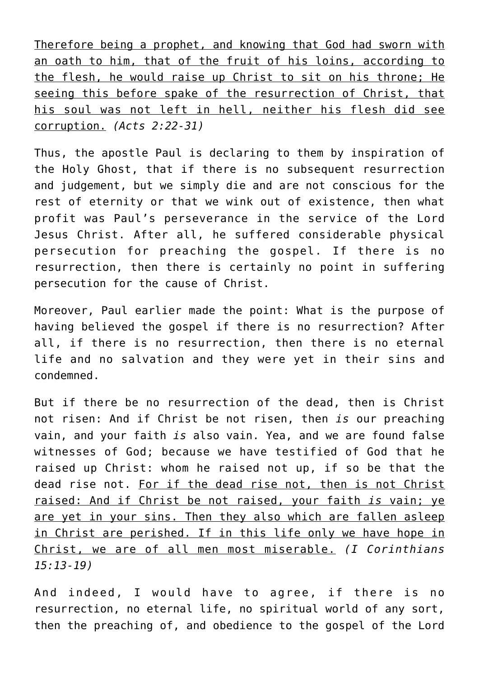Therefore being a prophet, and knowing that God had sworn with an oath to him, that of the fruit of his loins, according to the flesh, he would raise up Christ to sit on his throne; He seeing this before spake of the resurrection of Christ, that his soul was not left in hell, neither his flesh did see corruption. *(Acts 2:22-31)*

Thus, the apostle Paul is declaring to them by inspiration of the Holy Ghost, that if there is no subsequent resurrection and judgement, but we simply die and are not conscious for the rest of eternity or that we wink out of existence, then what profit was Paul's perseverance in the service of the Lord Jesus Christ. After all, he suffered considerable physical persecution for preaching the gospel. If there is no resurrection, then there is certainly no point in suffering persecution for the cause of Christ.

Moreover, Paul earlier made the point: What is the purpose of having believed the gospel if there is no resurrection? After all, if there is no resurrection, then there is no eternal life and no salvation and they were yet in their sins and condemned.

But if there be no resurrection of the dead, then is Christ not risen: And if Christ be not risen, then *is* our preaching vain, and your faith *is* also vain. Yea, and we are found false witnesses of God; because we have testified of God that he raised up Christ: whom he raised not up, if so be that the dead rise not. For if the dead rise not, then is not Christ raised: And if Christ be not raised, your faith *is* vain; ye are yet in your sins. Then they also which are fallen asleep in Christ are perished. If in this life only we have hope in Christ, we are of all men most miserable. *(I Corinthians 15:13-19)*

And indeed, I would have to agree, if there is no resurrection, no eternal life, no spiritual world of any sort, then the preaching of, and obedience to the gospel of the Lord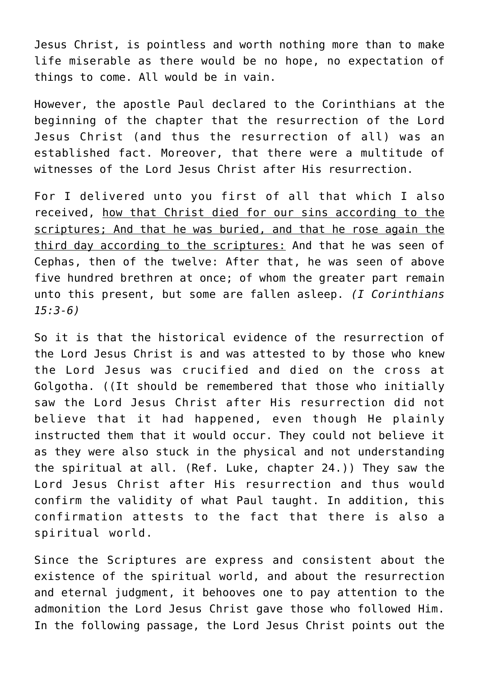Jesus Christ, is pointless and worth nothing more than to make life miserable as there would be no hope, no expectation of things to come. All would be in vain.

However, the apostle Paul declared to the Corinthians at the beginning of the chapter that the resurrection of the Lord Jesus Christ (and thus the resurrection of all) was an established fact. Moreover, that there were a multitude of witnesses of the Lord Jesus Christ after His resurrection.

For I delivered unto you first of all that which I also received, how that Christ died for our sins according to the scriptures; And that he was buried, and that he rose again the third day according to the scriptures: And that he was seen of Cephas, then of the twelve: After that, he was seen of above five hundred brethren at once; of whom the greater part remain unto this present, but some are fallen asleep. *(I Corinthians 15:3-6)*

So it is that the historical evidence of the resurrection of the Lord Jesus Christ is and was attested to by those who knew the Lord Jesus was crucified and died on the cross at Golgotha. ((It should be remembered that those who initially saw the Lord Jesus Christ after His resurrection did not believe that it had happened, even though He plainly instructed them that it would occur. They could not believe it as they were also stuck in the physical and not understanding the spiritual at all. (Ref. Luke, chapter 24.)) They saw the Lord Jesus Christ after His resurrection and thus would confirm the validity of what Paul taught. In addition, this confirmation attests to the fact that there is also a spiritual world.

Since the Scriptures are express and consistent about the existence of the spiritual world, and about the resurrection and eternal judgment, it behooves one to pay attention to the admonition the Lord Jesus Christ gave those who followed Him. In the following passage, the Lord Jesus Christ points out the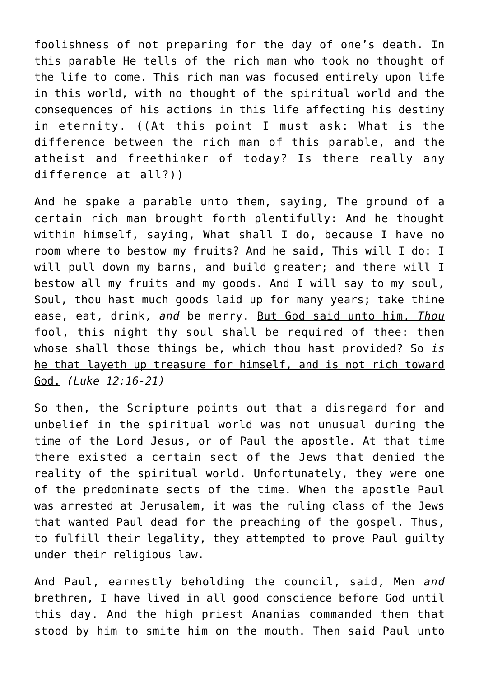foolishness of not preparing for the day of one's death. In this parable He tells of the rich man who took no thought of the life to come. This rich man was focused entirely upon life in this world, with no thought of the spiritual world and the consequences of his actions in this life affecting his destiny in eternity. ((At this point I must ask: What is the difference between the rich man of this parable, and the atheist and freethinker of today? Is there really any difference at all?))

And he spake a parable unto them, saying, The ground of a certain rich man brought forth plentifully: And he thought within himself, saying, What shall I do, because I have no room where to bestow my fruits? And he said, This will I do: I will pull down my barns, and build greater; and there will I bestow all my fruits and my goods. And I will say to my soul, Soul, thou hast much goods laid up for many years; take thine ease, eat, drink, *and* be merry. But God said unto him, *Thou* fool, this night thy soul shall be required of thee: then whose shall those things be, which thou hast provided? So *is* he that layeth up treasure for himself, and is not rich toward God. *(Luke 12:16-21)*

So then, the Scripture points out that a disregard for and unbelief in the spiritual world was not unusual during the time of the Lord Jesus, or of Paul the apostle. At that time there existed a certain sect of the Jews that denied the reality of the spiritual world. Unfortunately, they were one of the predominate sects of the time. When the apostle Paul was arrested at Jerusalem, it was the ruling class of the Jews that wanted Paul dead for the preaching of the gospel. Thus, to fulfill their legality, they attempted to prove Paul guilty under their religious law.

And Paul, earnestly beholding the council, said, Men *and* brethren, I have lived in all good conscience before God until this day. And the high priest Ananias commanded them that stood by him to smite him on the mouth. Then said Paul unto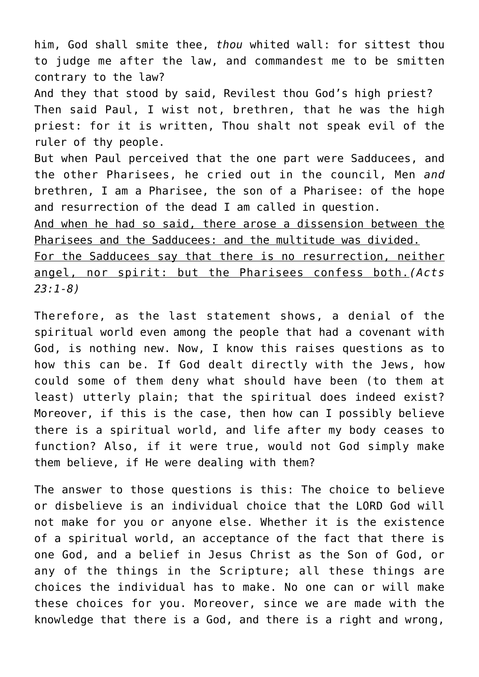him, God shall smite thee, *thou* whited wall: for sittest thou to judge me after the law, and commandest me to be smitten contrary to the law? And they that stood by said, Revilest thou God's high priest? Then said Paul, I wist not, brethren, that he was the high priest: for it is written, Thou shalt not speak evil of the ruler of thy people. But when Paul perceived that the one part were Sadducees, and the other Pharisees, he cried out in the council, Men *and* brethren, I am a Pharisee, the son of a Pharisee: of the hope and resurrection of the dead I am called in question. And when he had so said, there arose a dissension between the Pharisees and the Sadducees: and the multitude was divided. For the Sadducees say that there is no resurrection, neither angel, nor spirit: but the Pharisees confess both.*(Acts*

*23:1-8)*

Therefore, as the last statement shows, a denial of the spiritual world even among the people that had a covenant with God, is nothing new. Now, I know this raises questions as to how this can be. If God dealt directly with the Jews, how could some of them deny what should have been (to them at least) utterly plain; that the spiritual does indeed exist? Moreover, if this is the case, then how can I possibly believe there is a spiritual world, and life after my body ceases to function? Also, if it were true, would not God simply make them believe, if He were dealing with them?

The answer to those questions is this: The choice to believe or disbelieve is an individual choice that the LORD God will not make for you or anyone else. Whether it is the existence of a spiritual world, an acceptance of the fact that there is one God, and a belief in Jesus Christ as the Son of God, or any of the things in the Scripture; all these things are choices the individual has to make. No one can or will make these choices for you. Moreover, since we are made with the knowledge that there is a God, and there is a right and wrong,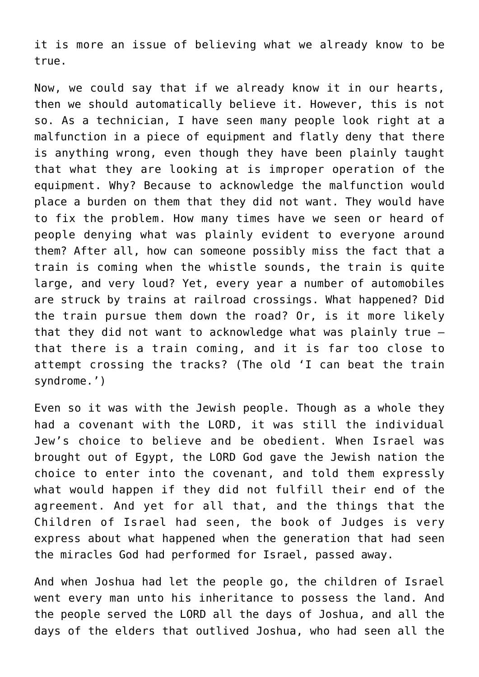it is more an issue of believing what we already know to be true.

Now, we could say that if we already know it in our hearts, then we should automatically believe it. However, this is not so. As a technician, I have seen many people look right at a malfunction in a piece of equipment and flatly deny that there is anything wrong, even though they have been plainly taught that what they are looking at is improper operation of the equipment. Why? Because to acknowledge the malfunction would place a burden on them that they did not want. They would have to fix the problem. How many times have we seen or heard of people denying what was plainly evident to everyone around them? After all, how can someone possibly miss the fact that a train is coming when the whistle sounds, the train is quite large, and very loud? Yet, every year a number of automobiles are struck by trains at railroad crossings. What happened? Did the train pursue them down the road? Or, is it more likely that they did not want to acknowledge what was plainly true that there is a train coming, and it is far too close to attempt crossing the tracks? (The old 'I can beat the train syndrome.')

Even so it was with the Jewish people. Though as a whole they had a covenant with the LORD, it was still the individual Jew's choice to believe and be obedient. When Israel was brought out of Egypt, the LORD God gave the Jewish nation the choice to enter into the covenant, and told them expressly what would happen if they did not fulfill their end of the agreement. And yet for all that, and the things that the Children of Israel had seen, the book of Judges is very express about what happened when the generation that had seen the miracles God had performed for Israel, passed away.

And when Joshua had let the people go, the children of Israel went every man unto his inheritance to possess the land. And the people served the LORD all the days of Joshua, and all the days of the elders that outlived Joshua, who had seen all the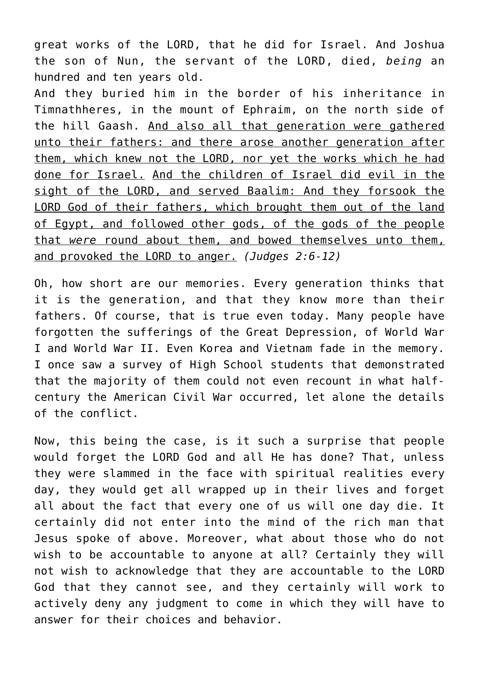great works of the LORD, that he did for Israel. And Joshua the son of Nun, the servant of the LORD, died, *being* an hundred and ten years old.

And they buried him in the border of his inheritance in Timnathheres, in the mount of Ephraim, on the north side of the hill Gaash. And also all that generation were gathered unto their fathers: and there arose another generation after them, which knew not the LORD, nor yet the works which he had done for Israel. And the children of Israel did evil in the sight of the LORD, and served Baalim: And they forsook the LORD God of their fathers, which brought them out of the land of Egypt, and followed other gods, of the gods of the people that *were* round about them, and bowed themselves unto them, and provoked the LORD to anger. *(Judges 2:6-12)*

Oh, how short are our memories. Every generation thinks that it is the generation, and that they know more than their fathers. Of course, that is true even today. Many people have forgotten the sufferings of the Great Depression, of World War I and World War II. Even Korea and Vietnam fade in the memory. I once saw a survey of High School students that demonstrated that the majority of them could not even recount in what halfcentury the American Civil War occurred, let alone the details of the conflict.

Now, this being the case, is it such a surprise that people would forget the LORD God and all He has done? That, unless they were slammed in the face with spiritual realities every day, they would get all wrapped up in their lives and forget all about the fact that every one of us will one day die. It certainly did not enter into the mind of the rich man that Jesus spoke of above. Moreover, what about those who do not wish to be accountable to anyone at all? Certainly they will not wish to acknowledge that they are accountable to the LORD God that they cannot see, and they certainly will work to actively deny any judgment to come in which they will have to answer for their choices and behavior.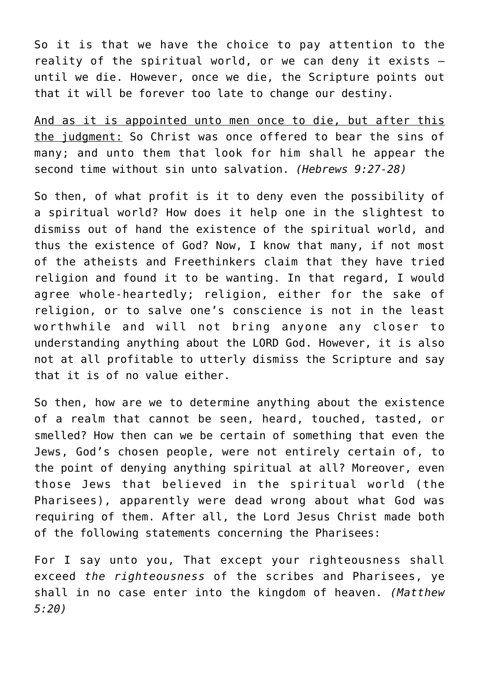So it is that we have the choice to pay attention to the reality of the spiritual world, or we can deny it exists until we die. However, once we die, the Scripture points out that it will be forever too late to change our destiny.

And as it is appointed unto men once to die, but after this the judgment: So Christ was once offered to bear the sins of many; and unto them that look for him shall he appear the second time without sin unto salvation. *(Hebrews 9:27-28)*

So then, of what profit is it to deny even the possibility of a spiritual world? How does it help one in the slightest to dismiss out of hand the existence of the spiritual world, and thus the existence of God? Now, I know that many, if not most of the atheists and Freethinkers claim that they have tried religion and found it to be wanting. In that regard, I would agree whole-heartedly; religion, either for the sake of religion, or to salve one's conscience is not in the least worthwhile and will not bring anyone any closer to understanding anything about the LORD God. However, it is also not at all profitable to utterly dismiss the Scripture and say that it is of no value either.

So then, how are we to determine anything about the existence of a realm that cannot be seen, heard, touched, tasted, or smelled? How then can we be certain of something that even the Jews, God's chosen people, were not entirely certain of, to the point of denying anything spiritual at all? Moreover, even those Jews that believed in the spiritual world (the Pharisees), apparently were dead wrong about what God was requiring of them. After all, the Lord Jesus Christ made both of the following statements concerning the Pharisees:

For I say unto you, That except your righteousness shall exceed *the righteousness* of the scribes and Pharisees, ye shall in no case enter into the kingdom of heaven. *(Matthew 5:20)*